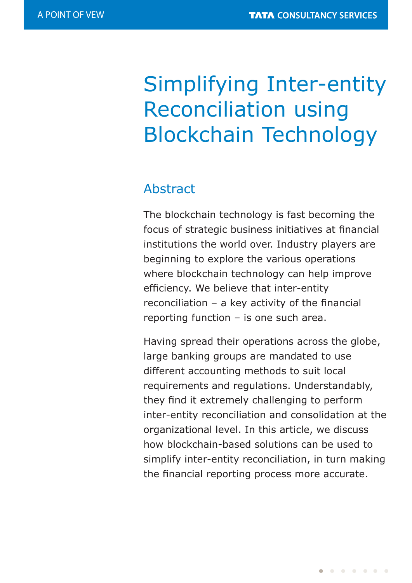# Simplifying Inter-entity Reconciliation using Blockchain Technology

### Abstract

The blockchain technology is fast becoming the focus of strategic business initiatives at financial institutions the world over. Industry players are beginning to explore the various operations where blockchain technology can help improve efficiency. We believe that inter-entity reconciliation  $-$  a key activity of the financial reporting function – is one such area.

Having spread their operations across the globe, large banking groups are mandated to use different accounting methods to suit local requirements and regulations. Understandably, they find it extremely challenging to perform inter-entity reconciliation and consolidation at the organizational level. In this article, we discuss how blockchain-based solutions can be used to simplify inter-entity reconciliation, in turn making the financial reporting process more accurate.

 $\begin{array}{cccccccccccccccccc} \bullet & \circ & \circ & \bullet & \circ & \bullet & \circ & \bullet & \bullet & \bullet \end{array}$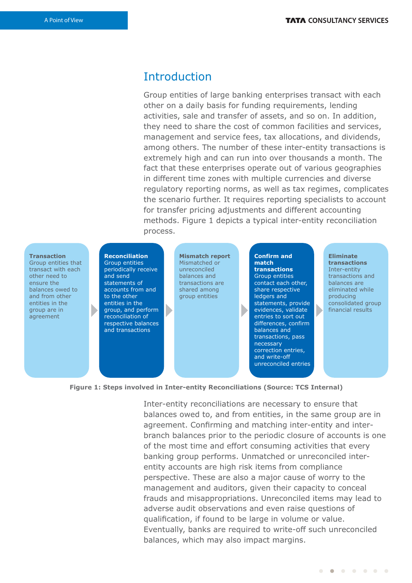### Introduction

Group entities of large banking enterprises transact with each other on a daily basis for funding requirements, lending activities, sale and transfer of assets, and so on. In addition, they need to share the cost of common facilities and services, management and service fees, tax allocations, and dividends, among others. The number of these inter-entity transactions is extremely high and can run into over thousands a month. The fact that these enterprises operate out of various geographies in different time zones with multiple currencies and diverse regulatory reporting norms, as well as tax regimes, complicates the scenario further. It requires reporting specialists to account for transfer pricing adjustments and different accounting methods. Figure 1 depicts a typical inter-entity reconciliation process.

#### **Transaction**

Group entities that transact with each other need to ensure the balances owed to and from other entities in the group are in agreement

#### **Reconciliation** Group entities periodically receive and send statements of accounts from and to the other entities in the group, and perform

reconciliation of respective balances and transactions

**Mismatch report** Mismatched or unreconciled balances and transactions are shared among group entities

**Confirm and match transactions** Group entities contact each other, share respective ledgers and statements, provide evidences, validate entries to sort out differences, confirm balances and transactions, pass necessary correction entries, and write-off unreconciled entries

D

**Eliminate transactions** Inter-entity transactions and balances are eliminated while producing consolidated group financial results

**Figure 1: Steps involved in Inter-entity Reconciliations (Source: TCS Internal)**

Inter-entity reconciliations are necessary to ensure that balances owed to, and from entities, in the same group are in agreement. Confirming and matching inter-entity and interbranch balances prior to the periodic closure of accounts is one of the most time and effort consuming activities that every banking group performs. Unmatched or unreconciled interentity accounts are high risk items from compliance perspective. These are also a major cause of worry to the management and auditors, given their capacity to conceal frauds and misappropriations. Unreconciled items may lead to adverse audit observations and even raise questions of qualification, if found to be large in volume or value. Eventually, banks are required to write-off such unreconciled balances, which may also impact margins.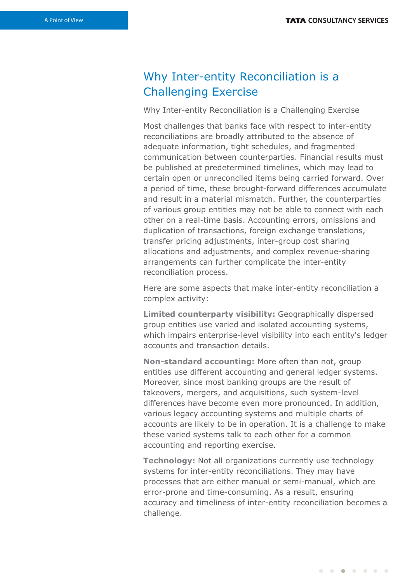## Why Inter-entity Reconciliation is a Challenging Exercise

Why Inter-entity Reconciliation is a Challenging Exercise

Most challenges that banks face with respect to inter-entity reconciliations are broadly attributed to the absence of adequate information, tight schedules, and fragmented communication between counterparties. Financial results must be published at predetermined timelines, which may lead to certain open or unreconciled items being carried forward. Over a period of time, these brought-forward differences accumulate and result in a material mismatch. Further, the counterparties of various group entities may not be able to connect with each other on a real-time basis. Accounting errors, omissions and duplication of transactions, foreign exchange translations, transfer pricing adjustments, inter-group cost sharing allocations and adjustments, and complex revenue-sharing arrangements can further complicate the inter-entity reconciliation process.

Here are some aspects that make inter-entity reconciliation a complex activity:

**Limited counterparty visibility:** Geographically dispersed group entities use varied and isolated accounting systems, which impairs enterprise-level visibility into each entity's ledger accounts and transaction details.

**Non-standard accounting:** More often than not, group entities use different accounting and general ledger systems. Moreover, since most banking groups are the result of takeovers, mergers, and acquisitions, such system-level differences have become even more pronounced. In addition, various legacy accounting systems and multiple charts of accounts are likely to be in operation. It is a challenge to make these varied systems talk to each other for a common accounting and reporting exercise.

**Technology:** Not all organizations currently use technology systems for inter-entity reconciliations. They may have processes that are either manual or semi-manual, which are error-prone and time-consuming. As a result, ensuring accuracy and timeliness of inter-entity reconciliation becomes a challenge.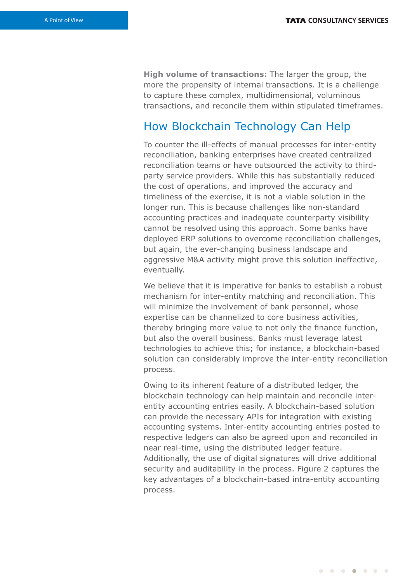**High volume of transactions:** The larger the group, the more the propensity of internal transactions. It is a challenge to capture these complex, multidimensional, voluminous transactions, and reconcile them within stipulated timeframes.

### How Blockchain Technology Can Help

To counter the ill-effects of manual processes for inter-entity reconciliation, banking enterprises have created centralized reconciliation teams or have outsourced the activity to thirdparty service providers. While this has substantially reduced the cost of operations, and improved the accuracy and timeliness of the exercise, it is not a viable solution in the longer run. This is because challenges like non-standard accounting practices and inadequate counterparty visibility cannot be resolved using this approach. Some banks have deployed ERP solutions to overcome reconciliation challenges, but again, the ever-changing business landscape and aggressive M&A activity might prove this solution ineffective, eventually.

We believe that it is imperative for banks to establish a robust mechanism for inter-entity matching and reconciliation. This will minimize the involvement of bank personnel, whose expertise can be channelized to core business activities, thereby bringing more value to not only the finance function, but also the overall business. Banks must leverage latest technologies to achieve this; for instance, a blockchain-based solution can considerably improve the inter-entity reconciliation process.

Owing to its inherent feature of a distributed ledger, the blockchain technology can help maintain and reconcile interentity accounting entries easily. A blockchain-based solution can provide the necessary APIs for integration with existing accounting systems. Inter-entity accounting entries posted to respective ledgers can also be agreed upon and reconciled in near real-time, using the distributed ledger feature. Additionally, the use of digital signatures will drive additional security and auditability in the process. Figure 2 captures the key advantages of a blockchain-based intra-entity accounting process.

 $\begin{array}{cccccccccccccccccc} \bullet & \bullet & \bullet & \bullet & \bullet & \bullet & \bullet & \bullet & \bullet & \bullet \end{array}$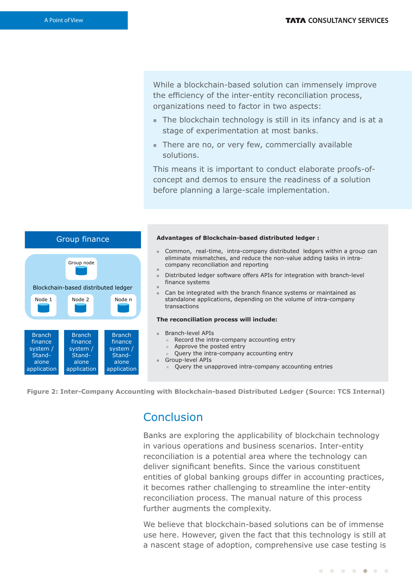While a blockchain-based solution can immensely improve the efficiency of the inter-entity reconciliation process, organizations need to factor in two aspects:

- The blockchain technology is still in its infancy and is at a stage of experimentation at most banks.
- $\blacksquare$  There are no, or very few, commercially available solutions.

This means it is important to conduct elaborate proofs-ofconcept and demos to ensure the readiness of a solution before planning a large-scale implementation.





### Conclusion

Banks are exploring the applicability of blockchain technology in various operations and business scenarios. Inter-entity reconciliation is a potential area where the technology can deliver significant benefits. Since the various constituent entities of global banking groups differ in accounting practices, it becomes rather challenging to streamline the inter-entity reconciliation process. The manual nature of this process further augments the complexity.

We believe that blockchain-based solutions can be of immense use here. However, given the fact that this technology is still at a nascent stage of adoption, comprehensive use case testing is

. . . . . . .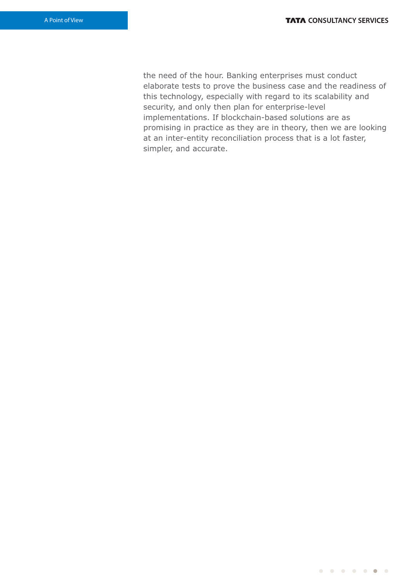the need of the hour. Banking enterprises must conduct elaborate tests to prove the business case and the readiness of this technology, especially with regard to its scalability and security, and only then plan for enterprise-level implementations. If blockchain-based solutions are as promising in practice as they are in theory, then we are looking at an inter-entity reconciliation process that is a lot faster, simpler, and accurate.